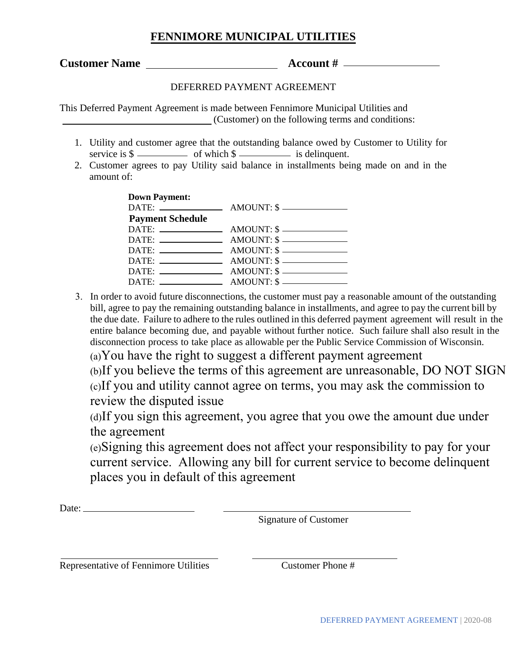## **FENNIMORE MUNICIPAL UTILITIES**

**Customer Name Account # Account #** *Account #* 

## DEFERRED PAYMENT AGREEMENT

This Deferred Payment Agreement is made between Fennimore Municipal Utilities and (Customer) on the following terms and conditions:

- 1. Utility and customer agree that the outstanding balance owed by Customer to Utility for service is  $\frac{1}{2}$  of which  $\frac{1}{2}$  is delinquent.
- 2. Customer agrees to pay Utility said balance in installments being made on and in the amount of:

| <b>Down Payment:</b><br><b>Payment Schedule</b> | $DATE:$ $\longrightarrow$ $AMOUNT:$ $\$$                            |
|-------------------------------------------------|---------------------------------------------------------------------|
|                                                 | $DATE:$ $\_\_\_\_\_\_$ $\_\_\_\_\_\_$ $\_\_\_\_\_\_$ $\_\_\_\_\_\_$ |
|                                                 | $DATE:$ $\longrightarrow$ $AMOUNT:$ $\$$                            |
|                                                 |                                                                     |
|                                                 | $DATE:$ $AMOUNT: $$                                                 |
|                                                 |                                                                     |
|                                                 |                                                                     |

3. In order to avoid future disconnections, the customer must pay a reasonable amount of the outstanding bill, agree to pay the remaining outstanding balance in installments, and agree to pay the current bill by the due date. Failure to adhere to the rules outlined in this deferred payment agreement will result in the entire balance becoming due, and payable without further notice. Such failure shall also result in the disconnection process to take place as allowable per the Public Service Commission of Wisconsin.

(a)You have the right to suggest a different payment agreement

(b)If you believe the terms of this agreement are unreasonable, DO NOT SIGN

(c)If you and utility cannot agree on terms, you may ask the commission to review the disputed issue

(d)If you sign this agreement, you agree that you owe the amount due under the agreement

(e)Signing this agreement does not affect your responsibility to pay for your current service. Allowing any bill for current service to become delinquent places you in default of this agreement

Date:

Signature of Customer

Representative of Fennimore Utilities Customer Phone #